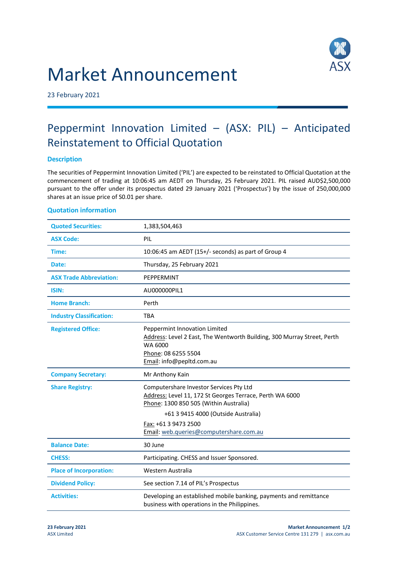# Market Announcement



23 February 2021

# Peppermint Innovation Limited – (ASX: PIL) – Anticipated Reinstatement to Official Quotation

## **Description**

The securities of Peppermint Innovation Limited ('PIL') are expected to be reinstated to Official Quotation at the commencement of trading at 10:06:45 am AEDT on Thursday, 25 February 2021. PIL raised AUD\$2,500,000 pursuant to the offer under its prospectus dated 29 January 2021 ('Prospectus') by the issue of 250,000,000 shares at an issue price of S0.01 per share.

## **Quotation information**

| <b>Quoted Securities:</b>       | 1,383,504,463                                                                                                                                                                                                                                           |
|---------------------------------|---------------------------------------------------------------------------------------------------------------------------------------------------------------------------------------------------------------------------------------------------------|
| <b>ASX Code:</b>                | PIL                                                                                                                                                                                                                                                     |
| Time:                           | 10:06:45 am AEDT (15+/- seconds) as part of Group 4                                                                                                                                                                                                     |
| Date:                           | Thursday, 25 February 2021                                                                                                                                                                                                                              |
| <b>ASX Trade Abbreviation:</b>  | PEPPERMINT                                                                                                                                                                                                                                              |
| <b>ISIN:</b>                    | AU000000PIL1                                                                                                                                                                                                                                            |
| <b>Home Branch:</b>             | Perth                                                                                                                                                                                                                                                   |
| <b>Industry Classification:</b> | <b>TBA</b>                                                                                                                                                                                                                                              |
| <b>Registered Office:</b>       | Peppermint Innovation Limited<br>Address: Level 2 East, The Wentworth Building, 300 Murray Street, Perth<br>WA 6000<br>Phone: 08 6255 5504<br>Email: info@pepltd.com.au                                                                                 |
| <b>Company Secretary:</b>       | Mr Anthony Kain                                                                                                                                                                                                                                         |
| <b>Share Registry:</b>          | Computershare Investor Services Pty Ltd<br>Address: Level 11, 172 St Georges Terrace, Perth WA 6000<br>Phone: 1300 850 505 (Within Australia)<br>+61 3 9415 4000 (Outside Australia)<br>Fax: +61 3 9473 2500<br>Email: web.queries@computershare.com.au |
| <b>Balance Date:</b>            | 30 June                                                                                                                                                                                                                                                 |
| <b>CHESS:</b>                   | Participating. CHESS and Issuer Sponsored.                                                                                                                                                                                                              |
| <b>Place of Incorporation:</b>  | Western Australia                                                                                                                                                                                                                                       |
| <b>Dividend Policy:</b>         | See section 7.14 of PIL's Prospectus                                                                                                                                                                                                                    |
| <b>Activities:</b>              | Developing an established mobile banking, payments and remittance<br>business with operations in the Philippines.                                                                                                                                       |